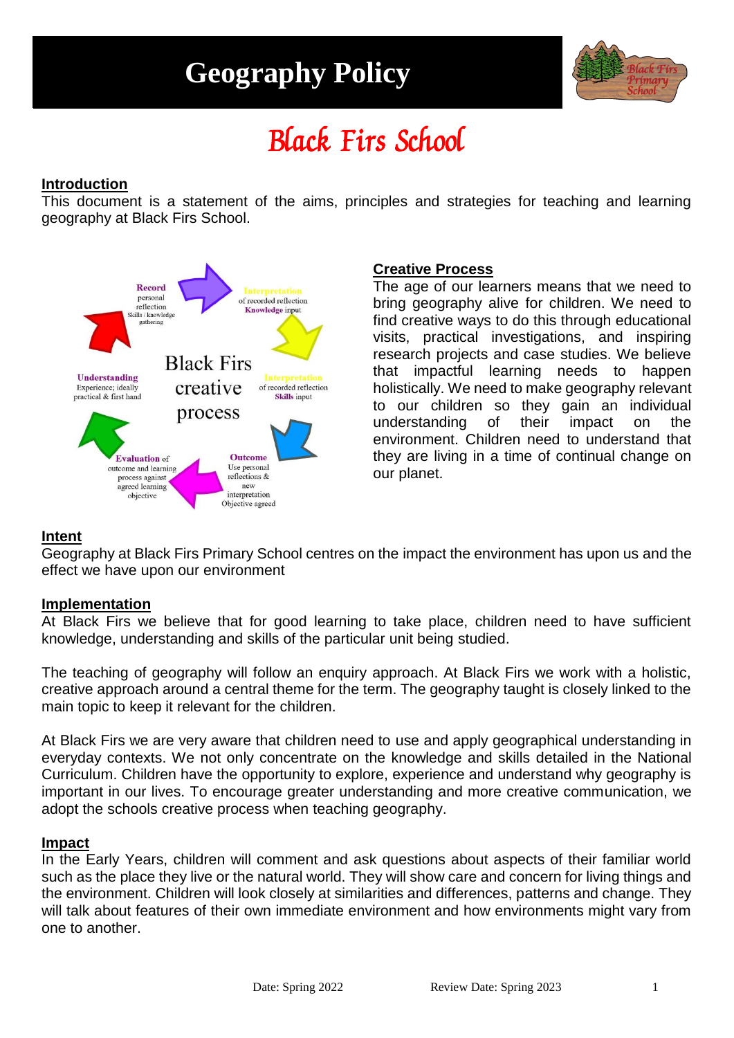## **Geography Policy**



# Black Firs School

### **Introduction**

This document is a statement of the aims, principles and strategies for teaching and learning geography at Black Firs School.



## **Creative Process**

The age of our learners means that we need to bring geography alive for children. We need to find creative ways to do this through educational visits, practical investigations, and inspiring research projects and case studies. We believe that impactful learning needs to happen holistically. We need to make geography relevant to our children so they gain an individual understanding of their impact on the environment. Children need to understand that they are living in a time of continual change on our planet.

## **Intent**

Geography at Black Firs Primary School centres on the impact the environment has upon us and the effect we have upon our environment

#### **Implementation**

At Black Firs we believe that for good learning to take place, children need to have sufficient knowledge, understanding and skills of the particular unit being studied.

The teaching of geography will follow an enquiry approach. At Black Firs we work with a holistic, creative approach around a central theme for the term. The geography taught is closely linked to the main topic to keep it relevant for the children.

At Black Firs we are very aware that children need to use and apply geographical understanding in everyday contexts. We not only concentrate on the knowledge and skills detailed in the National Curriculum. Children have the opportunity to explore, experience and understand why geography is important in our lives. To encourage greater understanding and more creative communication, we adopt the schools creative process when teaching geography.

#### **Impact**

In the Early Years, children will comment and ask questions about aspects of their familiar world such as the place they live or the natural world. They will show care and concern for living things and the environment. Children will look closely at similarities and differences, patterns and change. They will talk about features of their own immediate environment and how environments might vary from one to another.